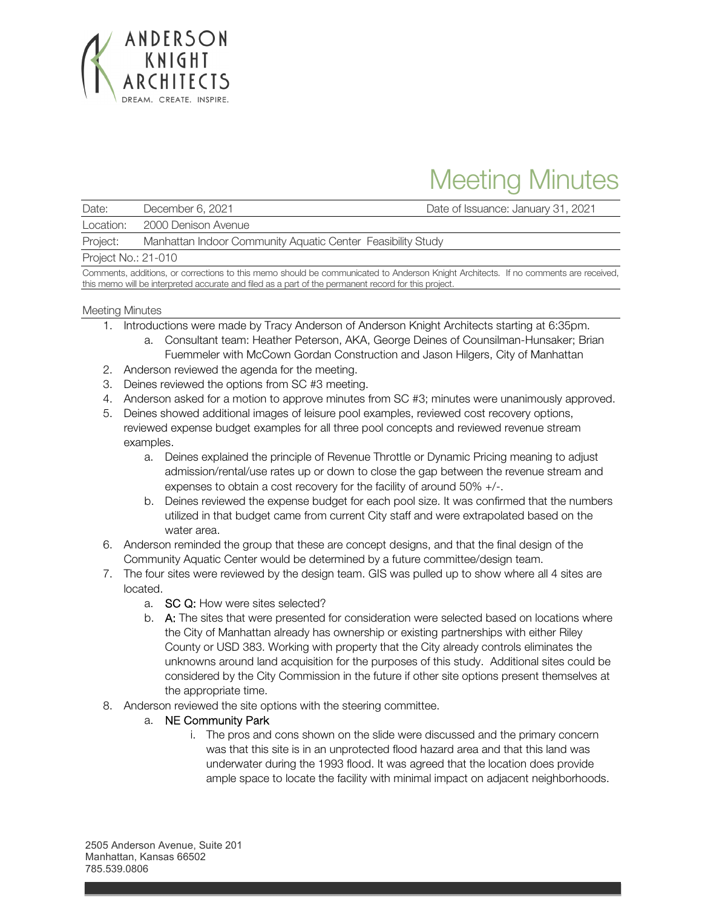

# Meeting Minutes

| Date:                     | December 6, 2021                                            | Date of Issuance: January 31, 2021 |
|---------------------------|-------------------------------------------------------------|------------------------------------|
| Location:                 | 2000 Denison Avenue                                         |                                    |
| Project:                  | Manhattan Indoor Community Aquatic Center Feasibility Study |                                    |
| $Din$ and $Min$ and $Min$ |                                                             |                                    |

Project No.: 21-010

Comments, additions, or corrections to this memo should be communicated to Anderson Knight Architects. If no comments are received, this memo will be interpreted accurate and filed as a part of the permanent record for this project.

# Meeting Minutes

- 1. Introductions were made by Tracy Anderson of Anderson Knight Architects starting at 6:35pm.
	- a. Consultant team: Heather Peterson, AKA, George Deines of Counsilman-Hunsaker; Brian Fuemmeler with McCown Gordan Construction and Jason Hilgers, City of Manhattan
- 2. Anderson reviewed the agenda for the meeting.
- 3. Deines reviewed the options from SC #3 meeting.
- 4. Anderson asked for a motion to approve minutes from SC #3; minutes were unanimously approved.
- 5. Deines showed additional images of leisure pool examples, reviewed cost recovery options, reviewed expense budget examples for all three pool concepts and reviewed revenue stream examples.
	- a. Deines explained the principle of Revenue Throttle or Dynamic Pricing meaning to adjust admission/rental/use rates up or down to close the gap between the revenue stream and expenses to obtain a cost recovery for the facility of around 50% +/-.
	- b. Deines reviewed the expense budget for each pool size. It was confirmed that the numbers utilized in that budget came from current City staff and were extrapolated based on the water area.
- 6. Anderson reminded the group that these are concept designs, and that the final design of the Community Aquatic Center would be determined by a future committee/design team.
- 7. The four sites were reviewed by the design team. GIS was pulled up to show where all 4 sites are located.
	- a. SC Q: How were sites selected?
	- b. A: The sites that were presented for consideration were selected based on locations where the City of Manhattan already has ownership or existing partnerships with either Riley County or USD 383. Working with property that the City already controls eliminates the unknowns around land acquisition for the purposes of this study. Additional sites could be considered by the City Commission in the future if other site options present themselves at the appropriate time.
- 8. Anderson reviewed the site options with the steering committee.
	- a. NE Community Park
		- i. The pros and cons shown on the slide were discussed and the primary concern was that this site is in an unprotected flood hazard area and that this land was underwater during the 1993 flood. It was agreed that the location does provide ample space to locate the facility with minimal impact on adjacent neighborhoods.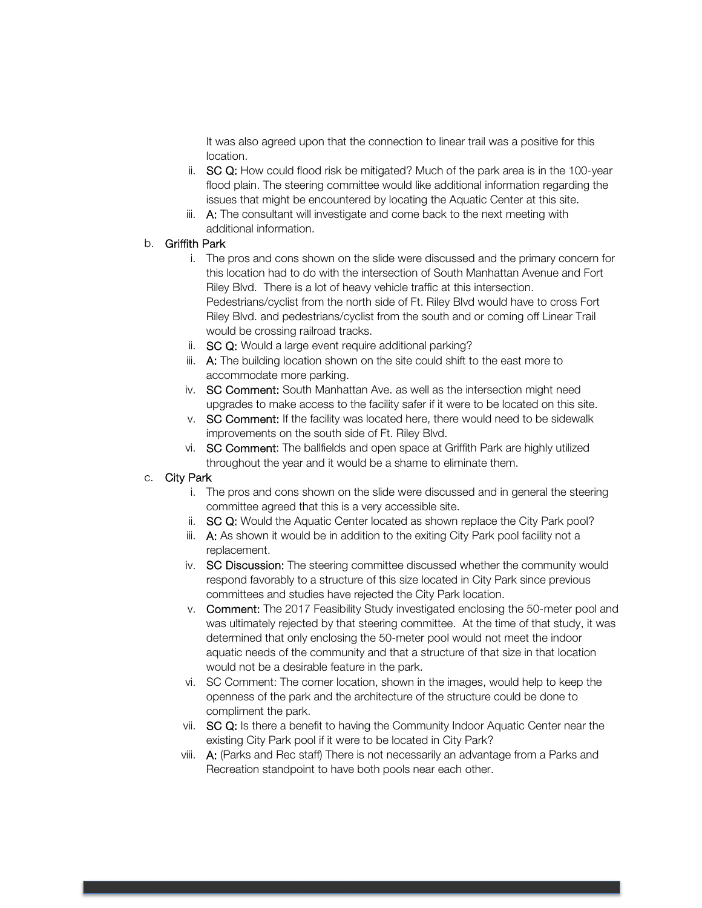It was also agreed upon that the connection to linear trail was a positive for this location.

- ii. SC Q: How could flood risk be mitigated? Much of the park area is in the 100-year flood plain. The steering committee would like additional information regarding the issues that might be encountered by locating the Aquatic Center at this site.
- iii. A: The consultant will investigate and come back to the next meeting with additional information.

# b. Griffith Park

- i. The pros and cons shown on the slide were discussed and the primary concern for this location had to do with the intersection of South Manhattan Avenue and Fort Riley Blvd. There is a lot of heavy vehicle traffic at this intersection. Pedestrians/cyclist from the north side of Ft. Riley Blvd would have to cross Fort Riley Blvd. and pedestrians/cyclist from the south and or coming off Linear Trail would be crossing railroad tracks.
- ii. SC Q: Would a large event require additional parking?
- iii. A: The building location shown on the site could shift to the east more to accommodate more parking.
- iv. SC Comment: South Manhattan Ave. as well as the intersection might need upgrades to make access to the facility safer if it were to be located on this site.
- v. SC Comment: If the facility was located here, there would need to be sidewalk improvements on the south side of Ft. Riley Blvd.
- vi. SC Comment: The ballfields and open space at Griffith Park are highly utilized throughout the year and it would be a shame to eliminate them.

### c. City Park

- i. The pros and cons shown on the slide were discussed and in general the steering committee agreed that this is a very accessible site.
- ii. SC Q: Would the Aquatic Center located as shown replace the City Park pool?
- iii. A: As shown it would be in addition to the exiting City Park pool facility not a replacement.
- iv. SC Discussion: The steering committee discussed whether the community would respond favorably to a structure of this size located in City Park since previous committees and studies have rejected the City Park location.
- v. Comment: The 2017 Feasibility Study investigated enclosing the 50-meter pool and was ultimately rejected by that steering committee. At the time of that study, it was determined that only enclosing the 50-meter pool would not meet the indoor aquatic needs of the community and that a structure of that size in that location would not be a desirable feature in the park.
- vi. SC Comment: The corner location, shown in the images, would help to keep the openness of the park and the architecture of the structure could be done to compliment the park.
- vii. SC Q: Is there a benefit to having the Community Indoor Aquatic Center near the existing City Park pool if it were to be located in City Park?
- viii. A: (Parks and Rec staff) There is not necessarily an advantage from a Parks and Recreation standpoint to have both pools near each other.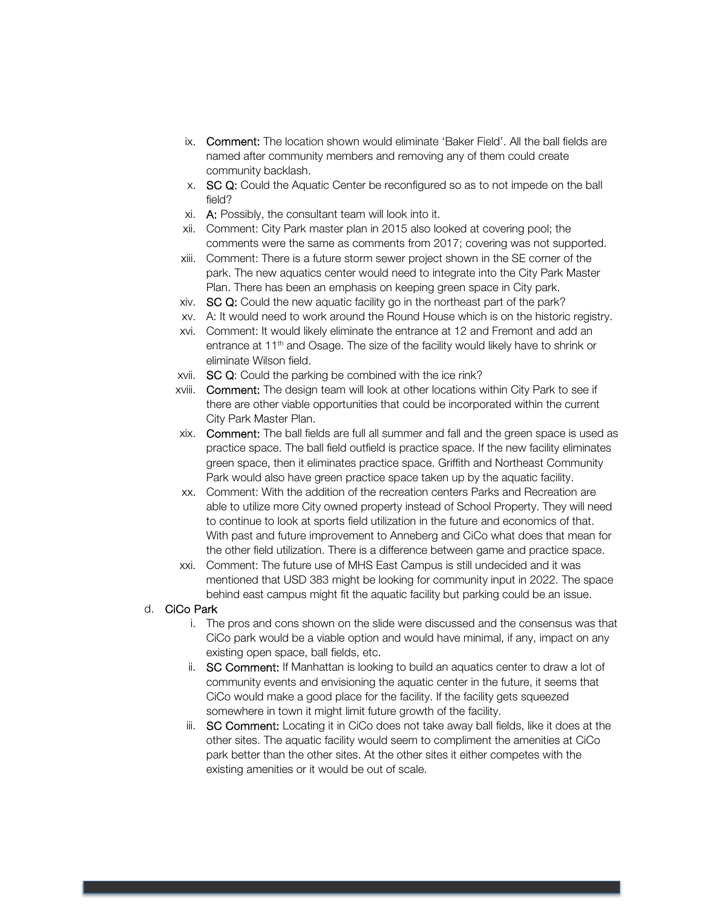- ix. Comment: The location shown would eliminate 'Baker Field'. All the ball fields are named after community members and removing any of them could create community backlash.
- x. SC Q: Could the Aquatic Center be reconfigured so as to not impede on the ball field?
- xi. A: Possibly, the consultant team will look into it.
- xii. Comment: City Park master plan in 2015 also looked at covering pool; the comments were the same as comments from 2017; covering was not supported.
- xiii. Comment: There is a future storm sewer project shown in the SE corner of the park. The new aquatics center would need to integrate into the City Park Master Plan. There has been an emphasis on keeping green space in City park.
- xiv. SC Q: Could the new aquatic facility go in the northeast part of the park?
- xv. A: It would need to work around the Round House which is on the historic registry.
- xvi. Comment: It would likely eliminate the entrance at 12 and Fremont and add an entrance at 11<sup>th</sup> and Osage. The size of the facility would likely have to shrink or eliminate Wilson field.
- xvii. SC Q: Could the parking be combined with the ice rink?
- xviii. Comment: The design team will look at other locations within City Park to see if there are other viable opportunities that could be incorporated within the current City Park Master Plan.
- xix. Comment: The ball fields are full all summer and fall and the green space is used as practice space. The ball field outfield is practice space. If the new facility eliminates green space, then it eliminates practice space. Griffith and Northeast Community Park would also have green practice space taken up by the aquatic facility.
- xx. Comment: With the addition of the recreation centers Parks and Recreation are able to utilize more City owned property instead of School Property. They will need to continue to look at sports field utilization in the future and economics of that. With past and future improvement to Anneberg and CiCo what does that mean for the other field utilization. There is a difference between game and practice space.
- xxi. Comment: The future use of MHS East Campus is still undecided and it was mentioned that USD 383 might be looking for community input in 2022. The space behind east campus might fit the aquatic facility but parking could be an issue.

### d. CiCo Park

- i. The pros and cons shown on the slide were discussed and the consensus was that CiCo park would be a viable option and would have minimal, if any, impact on any existing open space, ball fields, etc.
- ii. SC Comment: If Manhattan is looking to build an aquatics center to draw a lot of community events and envisioning the aquatic center in the future, it seems that CiCo would make a good place for the facility. If the facility gets squeezed somewhere in town it might limit future growth of the facility.
- iii. SC Comment: Locating it in CiCo does not take away ball fields, like it does at the other sites. The aquatic facility would seem to compliment the amenities at CiCo park better than the other sites. At the other sites it either competes with the existing amenities or it would be out of scale.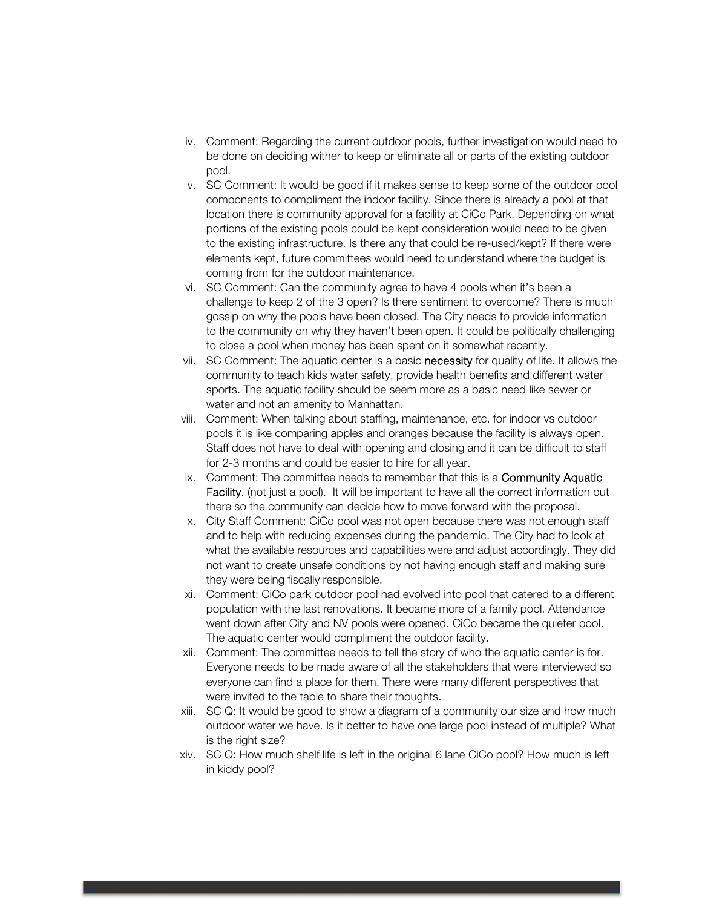- iv. Comment: Regarding the current outdoor pools, further investigation would need to be done on deciding wither to keep or eliminate all or parts of the existing outdoor pool.
- v. SC Comment: It would be good if it makes sense to keep some of the outdoor pool components to compliment the indoor facility. Since there is already a pool at that location there is community approval for a facility at CiCo Park. Depending on what portions of the existing pools could be kept consideration would need to be given to the existing infrastructure. Is there any that could be re-used/kept? If there were elements kept, future committees would need to understand where the budget is coming from for the outdoor maintenance.
- vi. SC Comment: Can the community agree to have 4 pools when it's been a challenge to keep 2 of the 3 open? Is there sentiment to overcome? There is much gossip on why the pools have been closed. The City needs to provide information to the community on why they haven't been open. It could be politically challenging to close a pool when money has been spent on it somewhat recently.
- vii. SC Comment: The aquatic center is a basic necessity for quality of life. It allows the community to teach kids water safety, provide health benefits and different water sports. The aquatic facility should be seem more as a basic need like sewer or water and not an amenity to Manhattan.
- viii. Comment: When talking about staffing, maintenance, etc. for indoor vs outdoor pools it is like comparing apples and oranges because the facility is always open. Staff does not have to deal with opening and closing and it can be difficult to staff for 2-3 months and could be easier to hire for all year.
- ix. Comment: The committee needs to remember that this is a **Community Aquatic** Facility. (not just a pool). It will be important to have all the correct information out there so the community can decide how to move forward with the proposal.
- x. City Staff Comment: CiCo pool was not open because there was not enough staff and to help with reducing expenses during the pandemic. The City had to look at what the available resources and capabilities were and adjust accordingly. They did not want to create unsafe conditions by not having enough staff and making sure they were being fiscally responsible.
- xi. Comment: CiCo park outdoor pool had evolved into pool that catered to a different population with the last renovations. It became more of a family pool. Attendance went down after City and NV pools were opened. CiCo became the quieter pool. The aquatic center would compliment the outdoor facility.
- xii. Comment: The committee needs to tell the story of who the aquatic center is for. Everyone needs to be made aware of all the stakeholders that were interviewed so everyone can find a place for them. There were many different perspectives that were invited to the table to share their thoughts.
- xiii. SC Q: It would be good to show a diagram of a community our size and how much outdoor water we have. Is it better to have one large pool instead of multiple? What is the right size?
- xiv. SC Q: How much shelf life is left in the original 6 lane CiCo pool? How much is left in kiddy pool?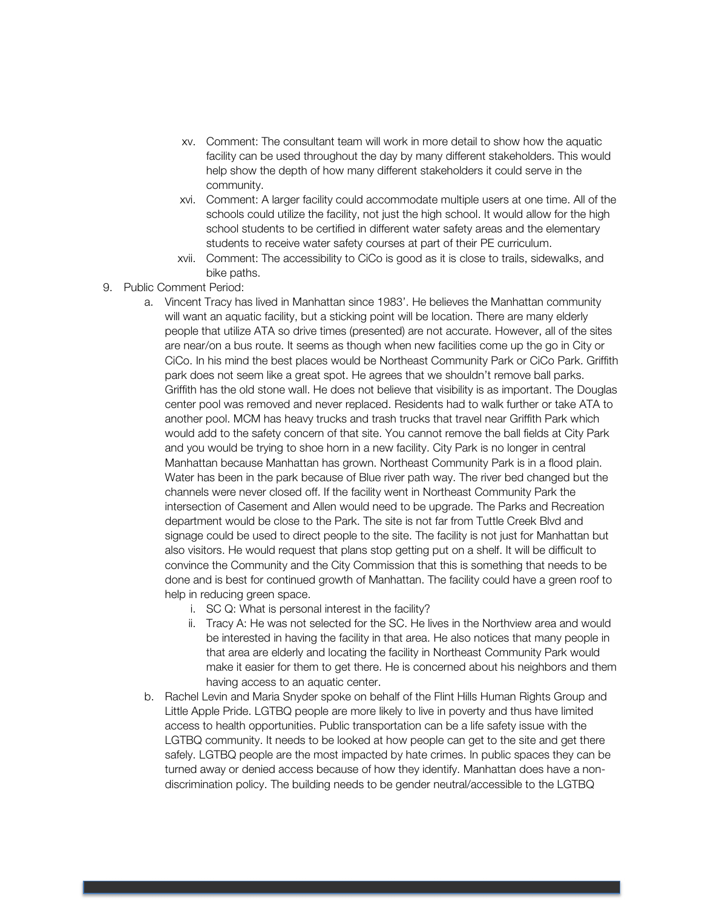- xv. Comment: The consultant team will work in more detail to show how the aquatic facility can be used throughout the day by many different stakeholders. This would help show the depth of how many different stakeholders it could serve in the community.
- xvi. Comment: A larger facility could accommodate multiple users at one time. All of the schools could utilize the facility, not just the high school. It would allow for the high school students to be certified in different water safety areas and the elementary students to receive water safety courses at part of their PE curriculum.
- xvii. Comment: The accessibility to CiCo is good as it is close to trails, sidewalks, and bike paths.
- 9. Public Comment Period:
	- a. Vincent Tracy has lived in Manhattan since 1983'. He believes the Manhattan community will want an aquatic facility, but a sticking point will be location. There are many elderly people that utilize ATA so drive times (presented) are not accurate. However, all of the sites are near/on a bus route. It seems as though when new facilities come up the go in City or CiCo. In his mind the best places would be Northeast Community Park or CiCo Park. Griffith park does not seem like a great spot. He agrees that we shouldn't remove ball parks. Griffith has the old stone wall. He does not believe that visibility is as important. The Douglas center pool was removed and never replaced. Residents had to walk further or take ATA to another pool. MCM has heavy trucks and trash trucks that travel near Griffith Park which would add to the safety concern of that site. You cannot remove the ball fields at City Park and you would be trying to shoe horn in a new facility. City Park is no longer in central Manhattan because Manhattan has grown. Northeast Community Park is in a flood plain. Water has been in the park because of Blue river path way. The river bed changed but the channels were never closed off. If the facility went in Northeast Community Park the intersection of Casement and Allen would need to be upgrade. The Parks and Recreation department would be close to the Park. The site is not far from Tuttle Creek Blvd and signage could be used to direct people to the site. The facility is not just for Manhattan but also visitors. He would request that plans stop getting put on a shelf. It will be difficult to convince the Community and the City Commission that this is something that needs to be done and is best for continued growth of Manhattan. The facility could have a green roof to help in reducing green space.
		- i. SC Q: What is personal interest in the facility?
		- ii. Tracy A: He was not selected for the SC. He lives in the Northview area and would be interested in having the facility in that area. He also notices that many people in that area are elderly and locating the facility in Northeast Community Park would make it easier for them to get there. He is concerned about his neighbors and them having access to an aquatic center.
	- b. Rachel Levin and Maria Snyder spoke on behalf of the Flint Hills Human Rights Group and Little Apple Pride. LGTBQ people are more likely to live in poverty and thus have limited access to health opportunities. Public transportation can be a life safety issue with the LGTBQ community. It needs to be looked at how people can get to the site and get there safely. LGTBQ people are the most impacted by hate crimes. In public spaces they can be turned away or denied access because of how they identify. Manhattan does have a nondiscrimination policy. The building needs to be gender neutral/accessible to the LGTBQ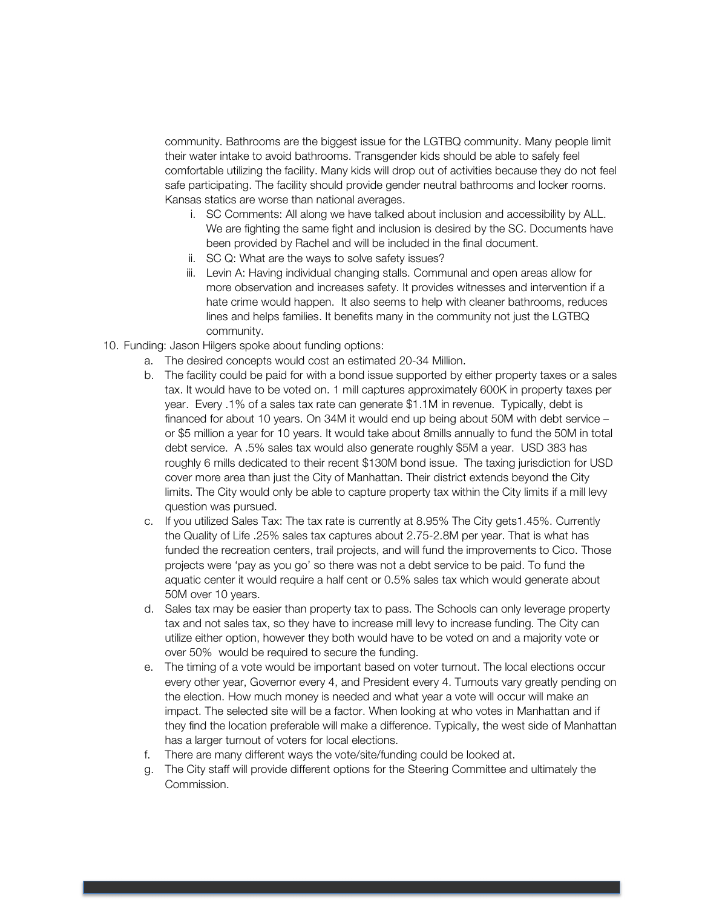community. Bathrooms are the biggest issue for the LGTBQ community. Many people limit their water intake to avoid bathrooms. Transgender kids should be able to safely feel comfortable utilizing the facility. Many kids will drop out of activities because they do not feel safe participating. The facility should provide gender neutral bathrooms and locker rooms. Kansas statics are worse than national averages.

- i. SC Comments: All along we have talked about inclusion and accessibility by ALL. We are fighting the same fight and inclusion is desired by the SC. Documents have been provided by Rachel and will be included in the final document.
- ii. SC Q: What are the ways to solve safety issues?
- iii. Levin A: Having individual changing stalls. Communal and open areas allow for more observation and increases safety. It provides witnesses and intervention if a hate crime would happen. It also seems to help with cleaner bathrooms, reduces lines and helps families. It benefits many in the community not just the LGTBQ community.
- 10. Funding: Jason Hilgers spoke about funding options:
	- a. The desired concepts would cost an estimated 20-34 Million.
	- b. The facility could be paid for with a bond issue supported by either property taxes or a sales tax. It would have to be voted on. 1 mill captures approximately 600K in property taxes per year. Every .1% of a sales tax rate can generate \$1.1M in revenue. Typically, debt is financed for about 10 years. On 34M it would end up being about 50M with debt service – or \$5 million a year for 10 years. It would take about 8mills annually to fund the 50M in total debt service. A .5% sales tax would also generate roughly \$5M a year. USD 383 has roughly 6 mills dedicated to their recent \$130M bond issue. The taxing jurisdiction for USD cover more area than just the City of Manhattan. Their district extends beyond the City limits. The City would only be able to capture property tax within the City limits if a mill levy question was pursued.
	- c. If you utilized Sales Tax: The tax rate is currently at 8.95% The City gets1.45%. Currently the Quality of Life .25% sales tax captures about 2.75-2.8M per year. That is what has funded the recreation centers, trail projects, and will fund the improvements to Cico. Those projects were 'pay as you go' so there was not a debt service to be paid. To fund the aquatic center it would require a half cent or 0.5% sales tax which would generate about 50M over 10 years.
	- d. Sales tax may be easier than property tax to pass. The Schools can only leverage property tax and not sales tax, so they have to increase mill levy to increase funding. The City can utilize either option, however they both would have to be voted on and a majority vote or over 50% would be required to secure the funding.
	- e. The timing of a vote would be important based on voter turnout. The local elections occur every other year, Governor every 4, and President every 4. Turnouts vary greatly pending on the election. How much money is needed and what year a vote will occur will make an impact. The selected site will be a factor. When looking at who votes in Manhattan and if they find the location preferable will make a difference. Typically, the west side of Manhattan has a larger turnout of voters for local elections.
	- f. There are many different ways the vote/site/funding could be looked at.
	- g. The City staff will provide different options for the Steering Committee and ultimately the Commission.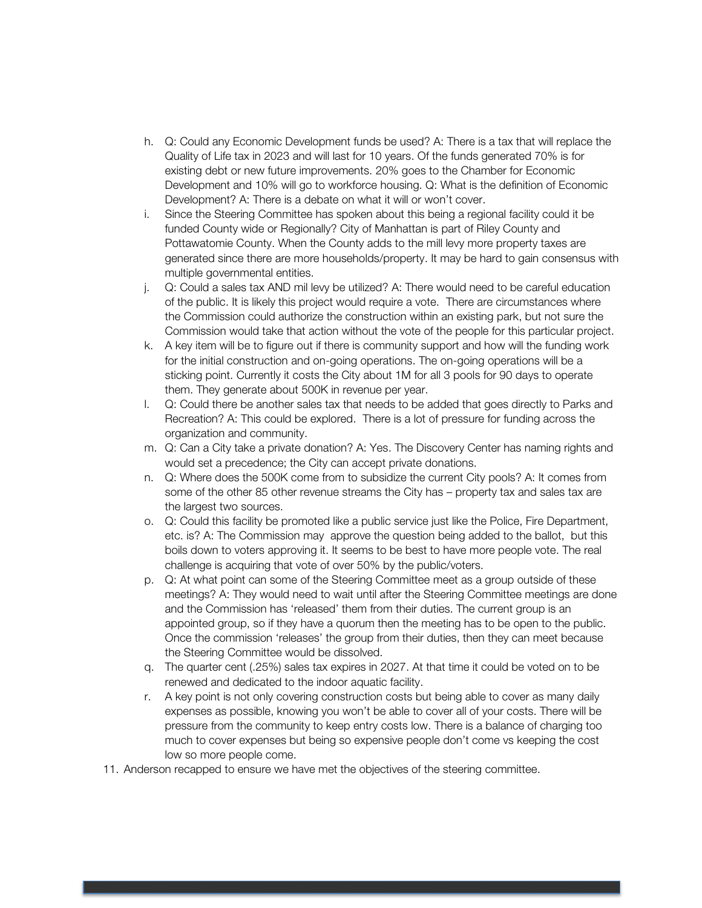- h. Q: Could any Economic Development funds be used? A: There is a tax that will replace the Quality of Life tax in 2023 and will last for 10 years. Of the funds generated 70% is for existing debt or new future improvements. 20% goes to the Chamber for Economic Development and 10% will go to workforce housing. Q: What is the definition of Economic Development? A: There is a debate on what it will or won't cover.
- i. Since the Steering Committee has spoken about this being a regional facility could it be funded County wide or Regionally? City of Manhattan is part of Riley County and Pottawatomie County. When the County adds to the mill levy more property taxes are generated since there are more households/property. It may be hard to gain consensus with multiple governmental entities.
- j. Q: Could a sales tax AND mil levy be utilized? A: There would need to be careful education of the public. It is likely this project would require a vote. There are circumstances where the Commission could authorize the construction within an existing park, but not sure the Commission would take that action without the vote of the people for this particular project.
- k. A key item will be to figure out if there is community support and how will the funding work for the initial construction and on-going operations. The on-going operations will be a sticking point. Currently it costs the City about 1M for all 3 pools for 90 days to operate them. They generate about 500K in revenue per year.
- l. Q: Could there be another sales tax that needs to be added that goes directly to Parks and Recreation? A: This could be explored. There is a lot of pressure for funding across the organization and community.
- m. Q: Can a City take a private donation? A: Yes. The Discovery Center has naming rights and would set a precedence; the City can accept private donations.
- n. Q: Where does the 500K come from to subsidize the current City pools? A: It comes from some of the other 85 other revenue streams the City has – property tax and sales tax are the largest two sources.
- o. Q: Could this facility be promoted like a public service just like the Police, Fire Department, etc. is? A: The Commission may approve the question being added to the ballot, but this boils down to voters approving it. It seems to be best to have more people vote. The real challenge is acquiring that vote of over 50% by the public/voters.
- p. Q: At what point can some of the Steering Committee meet as a group outside of these meetings? A: They would need to wait until after the Steering Committee meetings are done and the Commission has 'released' them from their duties. The current group is an appointed group, so if they have a quorum then the meeting has to be open to the public. Once the commission 'releases' the group from their duties, then they can meet because the Steering Committee would be dissolved.
- q. The quarter cent (.25%) sales tax expires in 2027. At that time it could be voted on to be renewed and dedicated to the indoor aquatic facility.
- r. A key point is not only covering construction costs but being able to cover as many daily expenses as possible, knowing you won't be able to cover all of your costs. There will be pressure from the community to keep entry costs low. There is a balance of charging too much to cover expenses but being so expensive people don't come vs keeping the cost low so more people come.
- 11. Anderson recapped to ensure we have met the objectives of the steering committee.